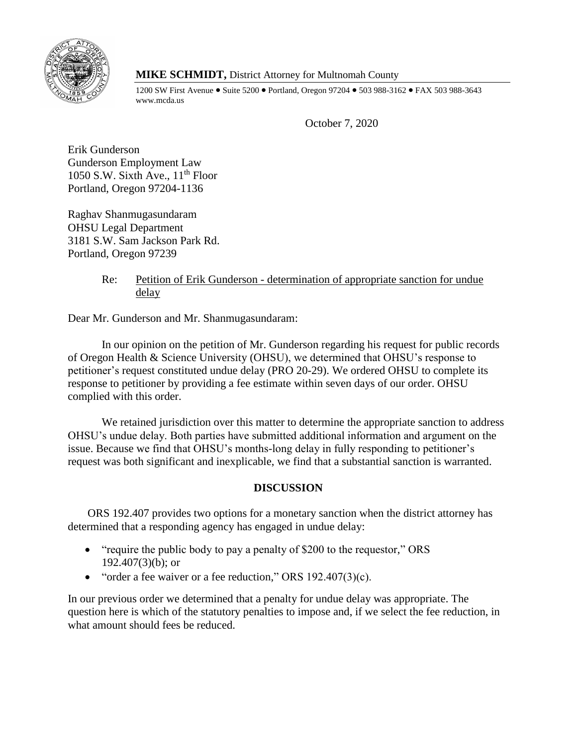

# **MIKE SCHMIDT,** District Attorney for Multnomah County

1200 SW First Avenue • Suite 5200 • Portland, Oregon 97204 • 503 988-3162 • FAX 503 988-3643 www.mcda.us

October 7, 2020

Erik Gunderson Gunderson Employment Law 1050 S.W. Sixth Ave.,  $11<sup>th</sup>$  Floor Portland, Oregon 97204-1136

Raghav Shanmugasundaram OHSU Legal Department 3181 S.W. Sam Jackson Park Rd. Portland, Oregon 97239

# Re: Petition of Erik Gunderson - determination of appropriate sanction for undue delay

Dear Mr. Gunderson and Mr. Shanmugasundaram:

In our opinion on the petition of Mr. Gunderson regarding his request for public records of Oregon Health & Science University (OHSU), we determined that OHSU's response to petitioner's request constituted undue delay (PRO 20-29). We ordered OHSU to complete its response to petitioner by providing a fee estimate within seven days of our order. OHSU complied with this order.

We retained jurisdiction over this matter to determine the appropriate sanction to address OHSU's undue delay. Both parties have submitted additional information and argument on the issue. Because we find that OHSU's months-long delay in fully responding to petitioner's request was both significant and inexplicable, we find that a substantial sanction is warranted.

# **DISCUSSION**

ORS 192.407 provides two options for a monetary sanction when the district attorney has determined that a responding agency has engaged in undue delay:

- "require the public body to pay a penalty of \$200 to the requestor," ORS  $192.407(3)(b)$ ; or
- "order a fee waiver or a fee reduction," ORS  $192.407(3)(c)$ .

In our previous order we determined that a penalty for undue delay was appropriate. The question here is which of the statutory penalties to impose and, if we select the fee reduction, in what amount should fees be reduced.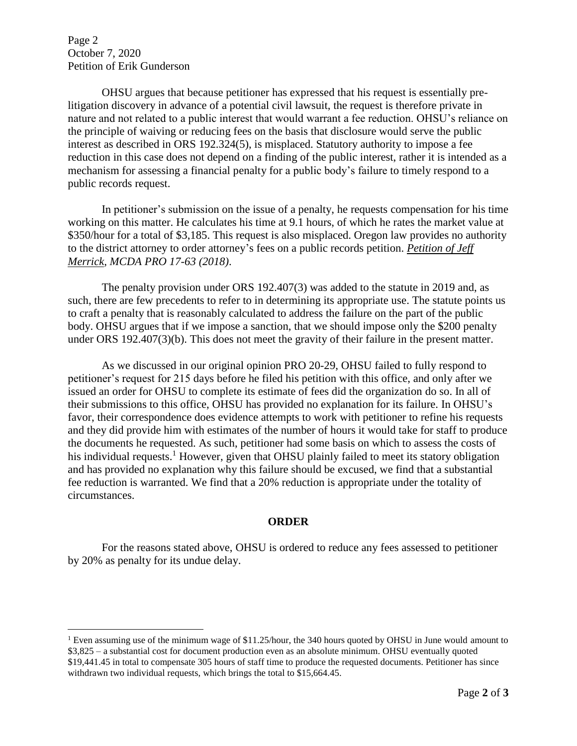Page 2 October 7, 2020 Petition of Erik Gunderson

 $\overline{a}$ 

OHSU argues that because petitioner has expressed that his request is essentially prelitigation discovery in advance of a potential civil lawsuit, the request is therefore private in nature and not related to a public interest that would warrant a fee reduction. OHSU's reliance on the principle of waiving or reducing fees on the basis that disclosure would serve the public interest as described in ORS 192.324(5), is misplaced. Statutory authority to impose a fee reduction in this case does not depend on a finding of the public interest, rather it is intended as a mechanism for assessing a financial penalty for a public body's failure to timely respond to a public records request.

In petitioner's submission on the issue of a penalty, he requests compensation for his time working on this matter. He calculates his time at 9.1 hours, of which he rates the market value at \$350/hour for a total of \$3,185. This request is also misplaced. Oregon law provides no authority to the district attorney to order attorney's fees on a public records petition. *Petition of Jeff Merrick, MCDA PRO 17-63 (2018)*.

The penalty provision under ORS 192.407(3) was added to the statute in 2019 and, as such, there are few precedents to refer to in determining its appropriate use. The statute points us to craft a penalty that is reasonably calculated to address the failure on the part of the public body. OHSU argues that if we impose a sanction, that we should impose only the \$200 penalty under ORS 192.407(3)(b). This does not meet the gravity of their failure in the present matter.

As we discussed in our original opinion PRO 20-29, OHSU failed to fully respond to petitioner's request for 215 days before he filed his petition with this office, and only after we issued an order for OHSU to complete its estimate of fees did the organization do so. In all of their submissions to this office, OHSU has provided no explanation for its failure. In OHSU's favor, their correspondence does evidence attempts to work with petitioner to refine his requests and they did provide him with estimates of the number of hours it would take for staff to produce the documents he requested. As such, petitioner had some basis on which to assess the costs of his individual requests.<sup>1</sup> However, given that OHSU plainly failed to meet its statory obligation and has provided no explanation why this failure should be excused, we find that a substantial fee reduction is warranted. We find that a 20% reduction is appropriate under the totality of circumstances.

### **ORDER**

For the reasons stated above, OHSU is ordered to reduce any fees assessed to petitioner by 20% as penalty for its undue delay.

<sup>&</sup>lt;sup>1</sup> Even assuming use of the minimum wage of \$11.25/hour, the 340 hours quoted by OHSU in June would amount to \$3,825 – a substantial cost for document production even as an absolute minimum. OHSU eventually quoted \$19,441.45 in total to compensate 305 hours of staff time to produce the requested documents. Petitioner has since withdrawn two individual requests, which brings the total to \$15,664.45.